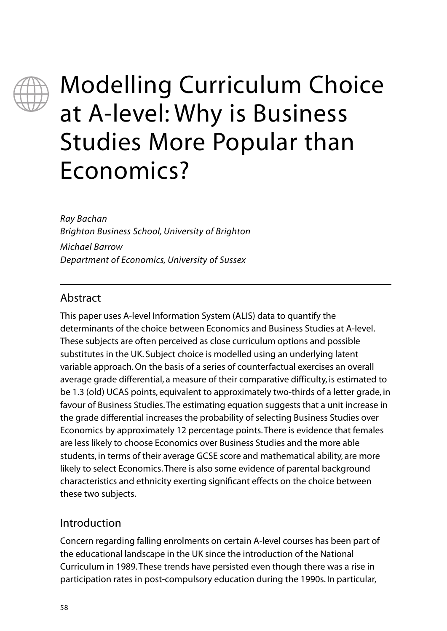

# Modelling Curriculum Choice at A-level: Why is Business Studies More Popular than Economics?

*Ray Bachan Brighton Business School, University of Brighton Michael Barrow Department of Economics, University of Sussex*

### Abstract

This paper uses A-level Information System (ALIS) data to quantify the determinants of the choice between Economics and Business Studies at A-level. These subjects are often perceived as close curriculum options and possible substitutes in the UK. Subject choice is modelled using an underlying latent variable approach. On the basis of a series of counterfactual exercises an overall average grade differential, a measure of their comparative difficulty, is estimated to be 1.3 (old) UCAS points, equivalent to approximately two-thirds of a letter grade, in favour of Business Studies.The estimating equation suggests that a unit increase in the grade differential increases the probability of selecting Business Studies over Economics by approximately 12 percentage points.There is evidence that females are less likely to choose Economics over Business Studies and the more able students, in terms of their average GCSE score and mathematical ability, are more likely to select Economics.There is also some evidence of parental background characteristics and ethnicity exerting significant effects on the choice between these two subjects.

### Introduction

Concern regarding falling enrolments on certain A-level courses has been part of the educational landscape in the UK since the introduction of the National Curriculum in 1989.These trends have persisted even though there was a rise in participation rates in post-compulsory education during the 1990s. In particular,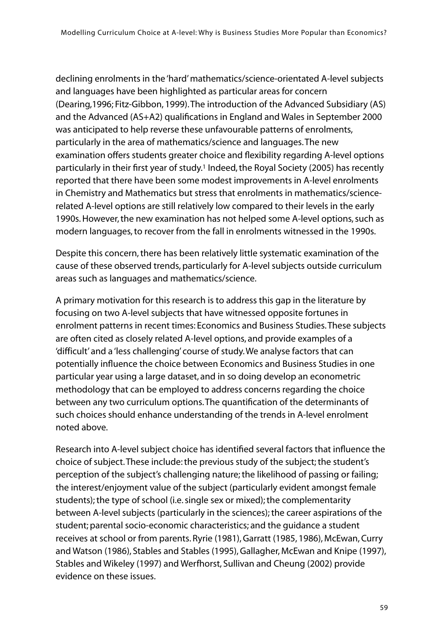declining enrolments in the 'hard' mathematics/science-orientated A-level subjects and languages have been highlighted as particular areas for concern (Dearing,1996; Fitz-Gibbon, 1999).The introduction of the Advanced Subsidiary (AS) and the Advanced (AS+A2) qualifications in England and Wales in September 2000 was anticipated to help reverse these unfavourable patterns of enrolments, particularly in the area of mathematics/science and languages.The new examination offers students greater choice and flexibility regarding A-level options particularly in their first year of study.1 Indeed, the Royal Society (2005) has recently reported that there have been some modest improvements in A-level enrolments in Chemistry and Mathematics but stress that enrolments in mathematics/sciencerelated A-level options are still relatively low compared to their levels in the early 1990s. However, the new examination has not helped some A-level options, such as modern languages, to recover from the fall in enrolments witnessed in the 1990s.

Despite this concern, there has been relatively little systematic examination of the cause of these observed trends, particularly for A-level subjects outside curriculum areas such as languages and mathematics/science.

A primary motivation for this research is to address this gap in the literature by focusing on two A-level subjects that have witnessed opposite fortunes in enrolment patterns in recent times: Economics and Business Studies.These subjects are often cited as closely related A-level options, and provide examples of a 'difficult' and a 'less challenging' course of study.We analyse factors that can potentially influence the choice between Economics and Business Studies in one particular year using a large dataset, and in so doing develop an econometric methodology that can be employed to address concerns regarding the choice between any two curriculum options.The quantification of the determinants of such choices should enhance understanding of the trends in A-level enrolment noted above.

Research into A-level subject choice has identified several factors that influence the choice of subject. These include: the previous study of the subject; the student's perception of the subject's challenging nature; the likelihood of passing or failing; the interest/enjoyment value of the subject (particularly evident amongst female students); the type of school (i.e. single sex or mixed); the complementarity between A-level subjects (particularly in the sciences); the career aspirations of the student; parental socio-economic characteristics; and the guidance a student receives at school or from parents. Ryrie (1981), Garratt (1985, 1986), McEwan, Curry and Watson (1986), Stables and Stables (1995), Gallagher, McEwan and Knipe (1997), Stables and Wikeley (1997) and Werfhorst, Sullivan and Cheung (2002) provide evidence on these issues.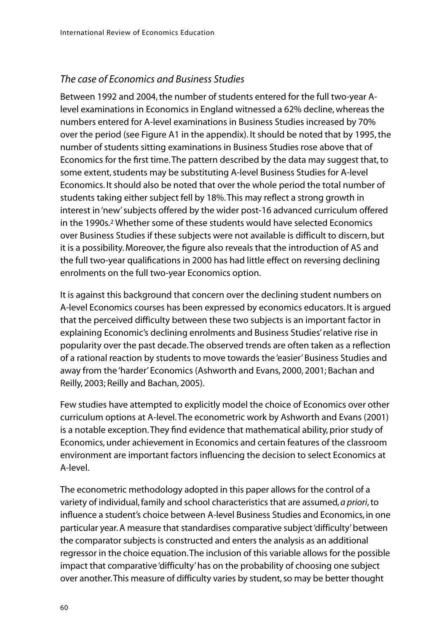#### *The case of Economics and Business Studies*

Between 1992 and 2004, the number of students entered for the full two-year Alevel examinations in Economics in England witnessed a 62% decline, whereas the numbers entered for A-level examinations in Business Studies increased by 70% over the period (see Figure A1 in the appendix). It should be noted that by 1995, the number of students sitting examinations in Business Studies rose above that of Economics for the first time.The pattern described by the data may suggest that, to some extent, students may be substituting A-level Business Studies for A-level Economics. It should also be noted that over the whole period the total number of students taking either subject fell by 18%.This may reflect a strong growth in interest in 'new' subjects offered by the wider post-16 advanced curriculum offered in the 1990s.2 Whether some of these students would have selected Economics over Business Studies if these subjects were not available is difficult to discern, but it is a possibility. Moreover, the figure also reveals that the introduction of AS and the full two-year qualifications in 2000 has had little effect on reversing declining enrolments on the full two-year Economics option.

It is against this background that concern over the declining student numbers on A-level Economics courses has been expressed by economics educators. It is argued that the perceived difficulty between these two subjects is an important factor in explaining Economic's declining enrolments and Business Studies' relative rise in popularity over the past decade.The observed trends are often taken as a reflection of a rational reaction by students to move towards the 'easier' Business Studies and away from the 'harder' Economics (Ashworth and Evans, 2000, 2001; Bachan and Reilly, 2003; Reilly and Bachan, 2005).

Few studies have attempted to explicitly model the choice of Economics over other curriculum options at A-level.The econometric work by Ashworth and Evans (2001) is a notable exception.They find evidence that mathematical ability, prior study of Economics, under achievement in Economics and certain features of the classroom environment are important factors influencing the decision to select Economics at A-level.

The econometric methodology adopted in this paper allows for the control of a variety of individual, family and school characteristics that are assumed,*a priori*, to influence a student's choice between A-level Business Studies and Economics, in one particular year. A measure that standardises comparative subject 'difficulty' between the comparator subjects is constructed and enters the analysis as an additional regressor in the choice equation.The inclusion of this variable allows for the possible impact that comparative 'difficulty' has on the probability of choosing one subject over another.This measure of difficulty varies by student, so may be better thought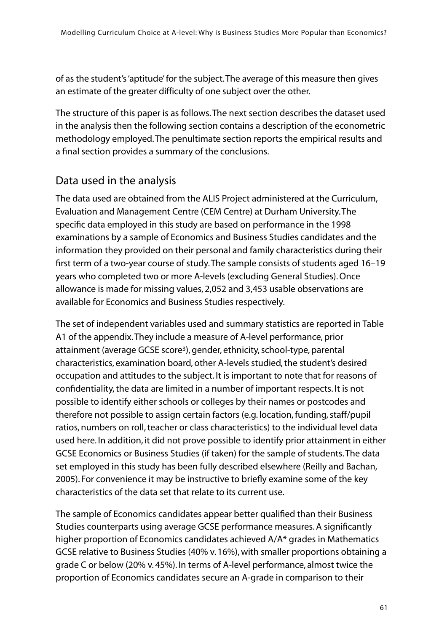of as the student's 'aptitude' for the subject.The average of this measure then gives an estimate of the greater difficulty of one subject over the other.

The structure of this paper is as follows.The next section describes the dataset used in the analysis then the following section contains a description of the econometric methodology employed.The penultimate section reports the empirical results and a final section provides a summary of the conclusions.

# Data used in the analysis

The data used are obtained from the ALIS Project administered at the Curriculum, Evaluation and Management Centre (CEM Centre) at Durham University.The specific data employed in this study are based on performance in the 1998 examinations by a sample of Economics and Business Studies candidates and the information they provided on their personal and family characteristics during their first term of a two-year course of study.The sample consists of students aged 16–19 years who completed two or more A-levels (excluding General Studies). Once allowance is made for missing values, 2,052 and 3,453 usable observations are available for Economics and Business Studies respectively.

The set of independent variables used and summary statistics are reported in Table A1 of the appendix.They include a measure of A-level performance, prior attainment (average GCSE score3), gender, ethnicity, school-type, parental characteristics, examination board, other A-levels studied, the student's desired occupation and attitudes to the subject. It is important to note that for reasons of confidentiality, the data are limited in a number of important respects. It is not possible to identify either schools or colleges by their names or postcodes and therefore not possible to assign certain factors (e.g. location, funding, staff/pupil ratios, numbers on roll, teacher or class characteristics) to the individual level data used here. In addition, it did not prove possible to identify prior attainment in either GCSE Economics or Business Studies (if taken) for the sample of students.The data set employed in this study has been fully described elsewhere (Reilly and Bachan, 2005). For convenience it may be instructive to briefly examine some of the key characteristics of the data set that relate to its current use.

The sample of Economics candidates appear better qualified than their Business Studies counterparts using average GCSE performance measures. A significantly higher proportion of Economics candidates achieved A/A\* grades in Mathematics GCSE relative to Business Studies (40% v. 16%), with smaller proportions obtaining a grade C or below (20% v. 45%). In terms of A-level performance, almost twice the proportion of Economics candidates secure an A-grade in comparison to their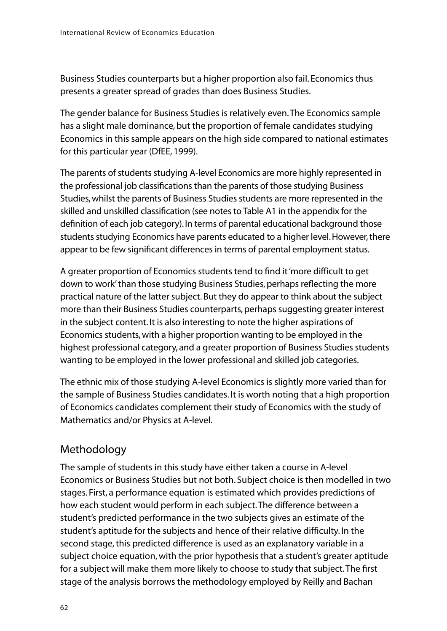Business Studies counterparts but a higher proportion also fail. Economics thus presents a greater spread of grades than does Business Studies.

The gender balance for Business Studies is relatively even.The Economics sample has a slight male dominance, but the proportion of female candidates studying Economics in this sample appears on the high side compared to national estimates for this particular year (DfEE, 1999).

The parents of students studying A-level Economics are more highly represented in the professional job classifications than the parents of those studying Business Studies, whilst the parents of Business Studies students are more represented in the skilled and unskilled classification (see notes to Table A1 in the appendix for the definition of each job category). In terms of parental educational background those students studying Economics have parents educated to a higher level. However, there appear to be few significant differences in terms of parental employment status.

A greater proportion of Economics students tend to find it 'more difficult to get down to work' than those studying Business Studies, perhaps reflecting the more practical nature of the latter subject. But they do appear to think about the subject more than their Business Studies counterparts, perhaps suggesting greater interest in the subject content. It is also interesting to note the higher aspirations of Economics students, with a higher proportion wanting to be employed in the highest professional category, and a greater proportion of Business Studies students wanting to be employed in the lower professional and skilled job categories.

The ethnic mix of those studying A-level Economics is slightly more varied than for the sample of Business Studies candidates. It is worth noting that a high proportion of Economics candidates complement their study of Economics with the study of Mathematics and/or Physics at A-level.

# Methodology

The sample of students in this study have either taken a course in A-level Economics or Business Studies but not both. Subject choice is then modelled in two stages. First, a performance equation is estimated which provides predictions of how each student would perform in each subject.The difference between a student's predicted performance in the two subjects gives an estimate of the student's aptitude for the subjects and hence of their relative difficulty. In the second stage, this predicted difference is used as an explanatory variable in a subject choice equation, with the prior hypothesis that a student's greater aptitude for a subject will make them more likely to choose to study that subject.The first stage of the analysis borrows the methodology employed by Reilly and Bachan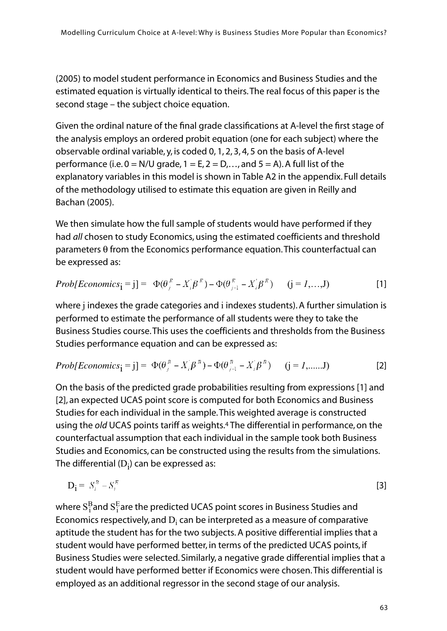(2005) to model student performance in Economics and Business Studies and the estimated equation is virtually identical to theirs.The real focus of this paper is the second stage – the subject choice equation.

Given the ordinal nature of the final grade classifications at A-level the first stage of the analysis employs an ordered probit equation (one for each subject) where the observable ordinal variable, y, is coded 0, 1, 2, 3, 4, 5 on the basis of A-level performance (i.e.  $0 = N/U$  grade,  $1 = E$ ,  $2 = D$ ,..., and  $5 = A$ ). A full list of the explanatory variables in this model is shown in Table A2 in the appendix. Full details of the methodology utilised to estimate this equation are given in Reilly and Bachan (2005).

We then simulate how the full sample of students would have performed if they had *all* chosen to study Economics, using the estimated coefficients and threshold parameters θ from the Economics performance equation.This counterfactual can be expressed as:

$$
Prob[Economics_{\mathbf{i}} = \mathbf{j}] = \Phi(\theta_j^E - X_j^{\prime} \beta^E) - \Phi(\theta_{j-1}^E - X_j^{\prime} \beta^E) \qquad (\mathbf{j} = 1, \dots, \mathbf{J})
$$
 [1]

where j indexes the grade categories and i indexes students).A further simulation is performed to estimate the performance of all students were they to take the Business Studies course.This uses the coefficients and thresholds from the Business Studies performance equation and can be expressed as:

$$
Prob[Economics_{\mathbf{i}} = \mathbf{j}] = \Phi(\theta_{j}^{B} - X_{j}\beta^{B}) - \Phi(\theta_{j-1}^{B} - X_{j}\beta^{B}) \qquad (\mathbf{j} = 1, \dots, J)
$$
 [2]

On the basis of the predicted grade probabilities resulting from expressions [1] and [2], an expected UCAS point score is computed for both Economics and Business Studies for each individual in the sample.This weighted average is constructed using the *old* UCAS points tariff as weights.4 The differential in performance, on the counterfactual assumption that each individual in the sample took both Business Studies and Economics, can be constructed using the results from the simulations. The differential (D<sub>i</sub>) can be expressed as:

$$
\mathbf{D_i} = S_i^B - S_i^E \tag{3}
$$

where  $\mathrm{S_{i}^{B}}$ and  $\mathrm{S_{i}^{E}}$ are the predicted UCAS point scores in Business Studies and Economics respectively, and  $D_i$  can be interpreted as a measure of comparative aptitude the student has for the two subjects. A positive differential implies that a student would have performed better, in terms of the predicted UCAS points, if Business Studies were selected. Similarly, a negative grade differential implies that a student would have performed better if Economics were chosen.This differential is employed as an additional regressor in the second stage of our analysis.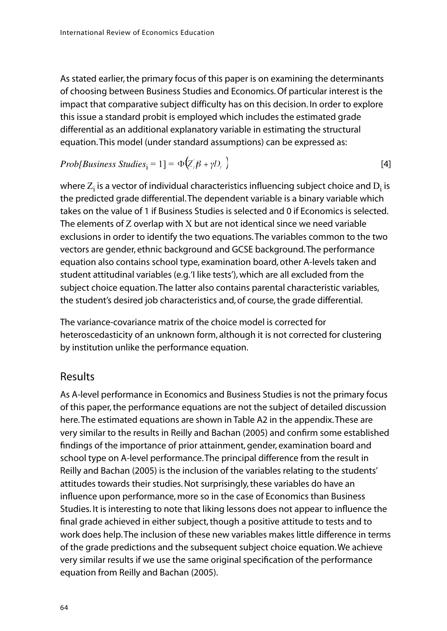As stated earlier, the primary focus of this paper is on examining the determinants of choosing between Business Studies and Economics. Of particular interest is the impact that comparative subject difficulty has on this decision. In order to explore this issue a standard probit is employed which includes the estimated grade differential as an additional explanatory variable in estimating the structural equation.This model (under standard assumptions) can be expressed as:

# $Prob(Business Studies_i = 1] = \Phi(Z_i \beta + \gamma I_i)$  [4]

where  $Z_i$  is a vector of individual characteristics influencing subject choice and  $D_i$  is the predicted grade differential.The dependent variable is a binary variable which takes on the value of 1 if Business Studies is selected and 0 if Economics is selected. The elements of Z overlap with X but are not identical since we need variable exclusions in order to identify the two equations.The variables common to the two vectors are gender, ethnic background and GCSE background.The performance equation also contains school type, examination board, other A-levels taken and student attitudinal variables (e.g.'I like tests'), which are all excluded from the subject choice equation.The latter also contains parental characteristic variables, the student's desired job characteristics and, of course, the grade differential.

The variance-covariance matrix of the choice model is corrected for heteroscedasticity of an unknown form, although it is not corrected for clustering by institution unlike the performance equation.

#### Results

As A-level performance in Economics and Business Studies is not the primary focus of this paper, the performance equations are not the subject of detailed discussion here.The estimated equations are shown in Table A2 in the appendix.These are very similar to the results in Reilly and Bachan (2005) and confirm some established findings of the importance of prior attainment, gender, examination board and school type on A-level performance.The principal difference from the result in Reilly and Bachan (2005) is the inclusion of the variables relating to the students' attitudes towards their studies. Not surprisingly, these variables do have an influence upon performance, more so in the case of Economics than Business Studies. It is interesting to note that liking lessons does not appear to influence the final grade achieved in either subject, though a positive attitude to tests and to work does help.The inclusion of these new variables makes little difference in terms of the grade predictions and the subsequent subject choice equation.We achieve very similar results if we use the same original specification of the performance equation from Reilly and Bachan (2005).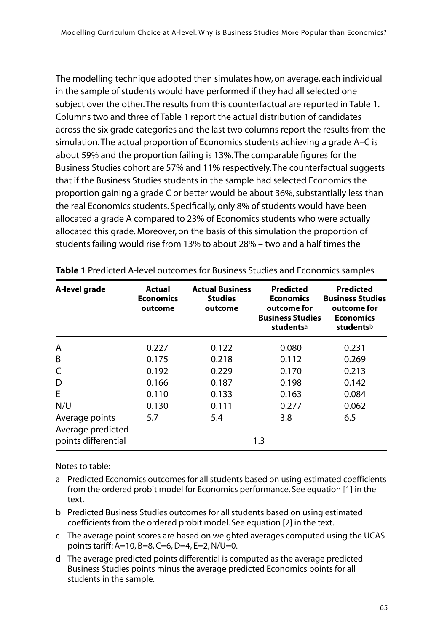The modelling technique adopted then simulates how, on average, each individual in the sample of students would have performed if they had all selected one subject over the other.The results from this counterfactual are reported in Table 1. Columns two and three of Table 1 report the actual distribution of candidates across the six grade categories and the last two columns report the results from the simulation.The actual proportion of Economics students achieving a grade A–C is about 59% and the proportion failing is 13%.The comparable figures for the Business Studies cohort are 57% and 11% respectively.The counterfactual suggests that if the Business Studies students in the sample had selected Economics the proportion gaining a grade C or better would be about 36%, substantially less than the real Economics students. Specifically, only 8% of students would have been allocated a grade A compared to 23% of Economics students who were actually allocated this grade. Moreover, on the basis of this simulation the proportion of students failing would rise from 13% to about 28% – two and a half times the

| A-level grade                       | Actual<br><b>Economics</b><br>outcome | <b>Actual Business</b><br><b>Studies</b><br>outcome | Predicted<br><b>Economics</b><br>outcome for<br><b>Business Studies</b><br>studentsa | Predicted<br><b>Business Studies</b><br>outcome for<br><b>Economics</b><br>studentsb |
|-------------------------------------|---------------------------------------|-----------------------------------------------------|--------------------------------------------------------------------------------------|--------------------------------------------------------------------------------------|
| A                                   | 0.227                                 | 0.122                                               | 0.080                                                                                | 0.231                                                                                |
| B                                   | 0.175                                 | 0.218                                               | 0.112                                                                                | 0.269                                                                                |
| C                                   | 0.192                                 | 0.229                                               | 0.170                                                                                | 0.213                                                                                |
| D                                   | 0.166                                 | 0.187                                               | 0.198                                                                                | 0.142                                                                                |
| E                                   | 0.110                                 | 0.133                                               | 0.163                                                                                | 0.084                                                                                |
| N/U                                 | 0.130                                 | 0.111                                               | 0.277                                                                                | 0.062                                                                                |
| Average points<br>Average predicted | 5.7                                   | 5.4                                                 | 3.8                                                                                  | 6.5                                                                                  |
| points differential                 |                                       |                                                     | 1.3                                                                                  |                                                                                      |

**Table 1** Predicted A-level outcomes for Business Studies and Economics samples

Notes to table:

- a Predicted Economics outcomes for all students based on using estimated coefficients from the ordered probit model for Economics performance. See equation [1] in the text.
- b Predicted Business Studies outcomes for all students based on using estimated coefficients from the ordered probit model. See equation [2] in the text.
- c The average point scores are based on weighted averages computed using the UCAS points tariff: A=10, B=8, C=6, D=4, E=2, N/U=0.
- d The average predicted points differential is computed as the average predicted Business Studies points minus the average predicted Economics points for all students in the sample.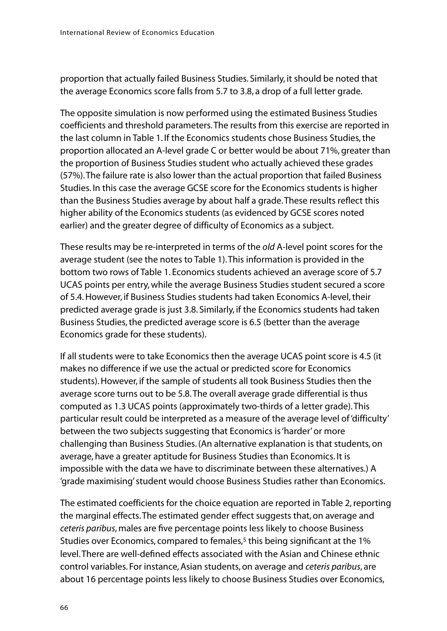proportion that actually failed Business Studies. Similarly, it should be noted that the average Economics score falls from 5.7 to 3.8, a drop of a full letter grade.

The opposite simulation is now performed using the estimated Business Studies coefficients and threshold parameters.The results from this exercise are reported in the last column in Table 1. If the Economics students chose Business Studies, the proportion allocated an A-level grade C or better would be about 71%, greater than the proportion of Business Studies student who actually achieved these grades (57%).The failure rate is also lower than the actual proportion that failed Business Studies. In this case the average GCSE score for the Economics students is higher than the Business Studies average by about half a grade.These results reflect this higher ability of the Economics students (as evidenced by GCSE scores noted earlier) and the greater degree of difficulty of Economics as a subject.

These results may be re-interpreted in terms of the *old* A-level point scores for the average student (see the notes to Table 1).This information is provided in the bottom two rows of Table 1. Economics students achieved an average score of 5.7 UCAS points per entry, while the average Business Studies student secured a score of 5.4. However, if Business Studies students had taken Economics A-level, their predicted average grade is just 3.8. Similarly, if the Economics students had taken Business Studies, the predicted average score is 6.5 (better than the average Economics grade for these students).

If all students were to take Economics then the average UCAS point score is 4.5 (it makes no difference if we use the actual or predicted score for Economics students). However, if the sample of students all took Business Studies then the average score turns out to be 5.8.The overall average grade differential is thus computed as 1.3 UCAS points (approximately two-thirds of a letter grade).This particular result could be interpreted as a measure of the average level of 'difficulty' between the two subjects suggesting that Economics is 'harder' or more challenging than Business Studies. (An alternative explanation is that students, on average, have a greater aptitude for Business Studies than Economics. It is impossible with the data we have to discriminate between these alternatives.) A 'grade maximising' student would choose Business Studies rather than Economics.

The estimated coefficients for the choice equation are reported in Table 2, reporting the marginal effects.The estimated gender effect suggests that, on average and *ceteris paribus*, males are five percentage points less likely to choose Business Studies over Economics, compared to females,<sup>5</sup> this being significant at the 1% level.There are well-defined effects associated with the Asian and Chinese ethnic control variables. For instance, Asian students, on average and *ceteris paribus*, are about 16 percentage points less likely to choose Business Studies over Economics,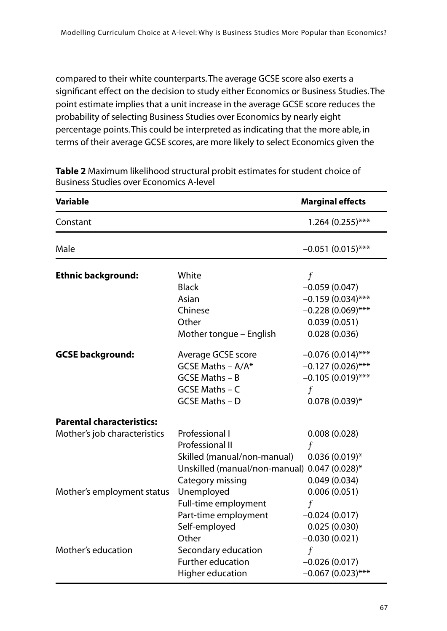compared to their white counterparts.The average GCSE score also exerts a significant effect on the decision to study either Economics or Business Studies.The point estimate implies that a unit increase in the average GCSE score reduces the probability of selecting Business Studies over Economics by nearly eight percentage points.This could be interpreted as indicating that the more able, in terms of their average GCSE scores, are more likely to select Economics given the

| Variable                         |                                                                                                                  | <b>Marginal effects</b>                                                                                   |
|----------------------------------|------------------------------------------------------------------------------------------------------------------|-----------------------------------------------------------------------------------------------------------|
| Constant                         |                                                                                                                  | $1.264(0.255)$ ***                                                                                        |
| Male                             |                                                                                                                  | $-0.051(0.015)$ ***                                                                                       |
| <b>Ethnic background:</b>        | White<br><b>Black</b><br>Asian<br>Chinese<br>Other<br>Mother tongue – English                                    | f<br>$-0.059(0.047)$<br>$-0.159(0.034)$ ***<br>$-0.228(0.069)$ ***<br>0.039(0.051)<br>0.028(0.036)        |
| <b>GCSE</b> background:          | Average GCSE score<br>GCSE Maths $- A/A^*$<br>GCSE Maths - B<br>GCSE Maths - C<br><b>GCSE Maths - D</b>          | $-0.076(0.014)$ ***<br>$-0.127(0.026)$ ***<br>$-0.105(0.019)$ ***<br>$\boldsymbol{f}$<br>$0.078(0.039)$ * |
| <b>Parental characteristics:</b> |                                                                                                                  |                                                                                                           |
| Mother's job characteristics     | Professional I<br>Professional II<br>Skilled (manual/non-manual)<br>Unskilled (manual/non-manual) 0.047 (0.028)* | 0.008(0.028)<br>$\mathbf f$<br>$0.036(0.019)$ *<br>0.049(0.034)                                           |
| Mother's employment status       | Category missing<br>Unemployed<br>Full-time employment<br>Part-time employment<br>Self-employed                  | 0.006(0.051)<br>$\mathbf f$<br>$-0.024(0.017)$<br>0.025(0.030)                                            |
| Mother's education               | Other<br>Secondary education<br><b>Further education</b><br>Higher education                                     | $-0.030(0.021)$<br>$\mathbf f$<br>$-0.026(0.017)$<br>$-0.067(0.023)$ ***                                  |

**Table 2** Maximum likelihood structural probit estimates for student choice of Business Studies over Economics A-level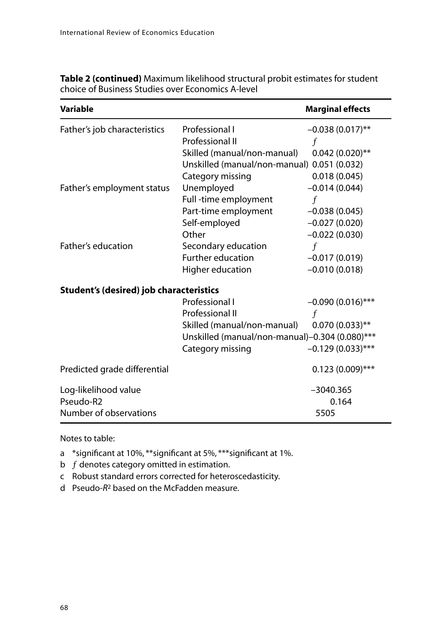| <b>Variable</b>                         |                                                | <b>Marginal effects</b> |  |
|-----------------------------------------|------------------------------------------------|-------------------------|--|
| Father's job characteristics            | Professional I                                 | $-0.038(0.017)$ **      |  |
|                                         | Professional II                                | f                       |  |
|                                         | Skilled (manual/non-manual)                    | $0.042(0.020)$ **       |  |
|                                         | Unskilled (manual/non-manual) 0.051 (0.032)    |                         |  |
|                                         | Category missing                               | 0.018(0.045)            |  |
| Father's employment status              | Unemployed                                     | $-0.014(0.044)$         |  |
|                                         | Full-time employment                           | f                       |  |
|                                         | Part-time employment                           | $-0.038(0.045)$         |  |
|                                         | Self-employed                                  | $-0.027(0.020)$         |  |
|                                         | Other                                          | $-0.022(0.030)$         |  |
| Father's education                      | Secondary education                            | f                       |  |
|                                         | <b>Further education</b>                       | $-0.017(0.019)$         |  |
|                                         | Higher education                               | $-0.010(0.018)$         |  |
| Student's (desired) job characteristics |                                                |                         |  |
|                                         | Professional I                                 | $-0.090(0.016)$ ***     |  |
|                                         | Professional II                                | f                       |  |
|                                         | Skilled (manual/non-manual)                    | $0.070(0.033)$ **       |  |
|                                         | Unskilled (manual/non-manual)-0.304 (0.080)*** |                         |  |
|                                         | Category missing                               | $-0.129(0.033)$ ***     |  |
| Predicted grade differential            |                                                | $0.123(0.009)$ ***      |  |
| Log-likelihood value                    |                                                | $-3040.365$             |  |
| Pseudo-R2                               |                                                | 0.164                   |  |
| Number of observations                  |                                                | 5505                    |  |

**Table 2 (continued)** Maximum likelihood structural probit estimates for student choice of Business Studies over Economics A-level

Notes to table:

a \*significant at 10%, \*\*significant at 5%, \*\*\*significant at 1%.

 $b$   $f$  denotes category omitted in estimation.

c Robust standard errors corrected for heteroscedasticity.

d Pseudo-*R*<sup>2</sup> based on the McFadden measure.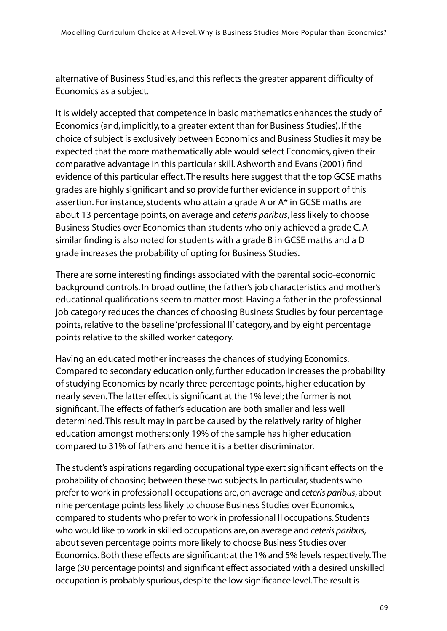alternative of Business Studies, and this reflects the greater apparent difficulty of Economics as a subject.

It is widely accepted that competence in basic mathematics enhances the study of Economics (and, implicitly, to a greater extent than for Business Studies). If the choice of subject is exclusively between Economics and Business Studies it may be expected that the more mathematically able would select Economics, given their comparative advantage in this particular skill. Ashworth and Evans (2001) find evidence of this particular effect.The results here suggest that the top GCSE maths grades are highly significant and so provide further evidence in support of this assertion. For instance, students who attain a grade A or A\* in GCSE maths are about 13 percentage points, on average and *ceteris paribus*, less likely to choose Business Studies over Economics than students who only achieved a grade C. A similar finding is also noted for students with a grade B in GCSE maths and a D grade increases the probability of opting for Business Studies.

There are some interesting findings associated with the parental socio-economic background controls. In broad outline, the father's job characteristics and mother's educational qualifications seem to matter most. Having a father in the professional job category reduces the chances of choosing Business Studies by four percentage points, relative to the baseline 'professional II' category, and by eight percentage points relative to the skilled worker category.

Having an educated mother increases the chances of studying Economics. Compared to secondary education only, further education increases the probability of studying Economics by nearly three percentage points, higher education by nearly seven.The latter effect is significant at the 1% level; the former is not significant.The effects of father's education are both smaller and less well determined.This result may in part be caused by the relatively rarity of higher education amongst mothers: only 19% of the sample has higher education compared to 31% of fathers and hence it is a better discriminator.

The student's aspirations regarding occupational type exert significant effects on the probability of choosing between these two subjects. In particular, students who prefer to work in professional I occupations are, on average and *ceteris paribus*, about nine percentage points less likely to choose Business Studies over Economics, compared to students who prefer to work in professional II occupations. Students who would like to work in skilled occupations are, on average and *ceteris paribus*, about seven percentage points more likely to choose Business Studies over Economics. Both these effects are significant: at the 1% and 5% levels respectively.The large (30 percentage points) and significant effect associated with a desired unskilled occupation is probably spurious, despite the low significance level.The result is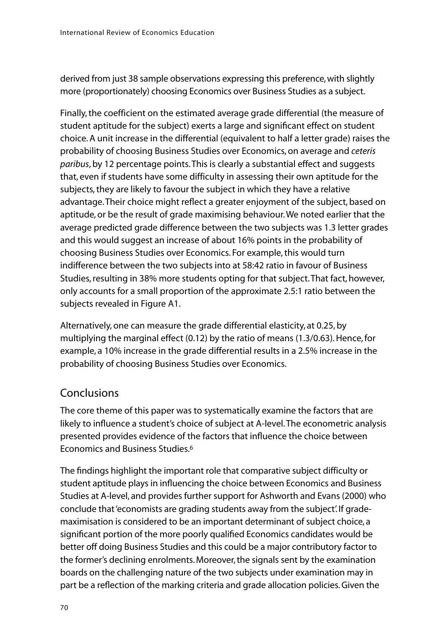derived from just 38 sample observations expressing this preference, with slightly more (proportionately) choosing Economics over Business Studies as a subject.

Finally, the coefficient on the estimated average grade differential (the measure of student aptitude for the subject) exerts a large and significant effect on student choice. A unit increase in the differential (equivalent to half a letter grade) raises the probability of choosing Business Studies over Economics, on average and *ceteris paribus*, by 12 percentage points.This is clearly a substantial effect and suggests that, even if students have some difficulty in assessing their own aptitude for the subjects, they are likely to favour the subject in which they have a relative advantage.Their choice might reflect a greater enjoyment of the subject, based on aptitude, or be the result of grade maximising behaviour.We noted earlier that the average predicted grade difference between the two subjects was 1.3 letter grades and this would suggest an increase of about 16% points in the probability of choosing Business Studies over Economics. For example, this would turn indifference between the two subjects into at 58:42 ratio in favour of Business Studies, resulting in 38% more students opting for that subject.That fact, however, only accounts for a small proportion of the approximate 2.5:1 ratio between the subjects revealed in Figure A1.

Alternatively, one can measure the grade differential elasticity, at 0.25, by multiplying the marginal effect (0.12) by the ratio of means (1.3/0.63). Hence, for example, a 10% increase in the grade differential results in a 2.5% increase in the probability of choosing Business Studies over Economics.

# Conclusions

The core theme of this paper was to systematically examine the factors that are likely to influence a student's choice of subject at A-level.The econometric analysis presented provides evidence of the factors that influence the choice between Economics and Business Studies.6

The findings highlight the important role that comparative subject difficulty or student aptitude plays in influencing the choice between Economics and Business Studies at A-level, and provides further support for Ashworth and Evans (2000) who conclude that 'economists are grading students away from the subject'. If grademaximisation is considered to be an important determinant of subject choice, a significant portion of the more poorly qualified Economics candidates would be better off doing Business Studies and this could be a major contributory factor to the former's declining enrolments. Moreover, the signals sent by the examination boards on the challenging nature of the two subjects under examination may in part be a reflection of the marking criteria and grade allocation policies. Given the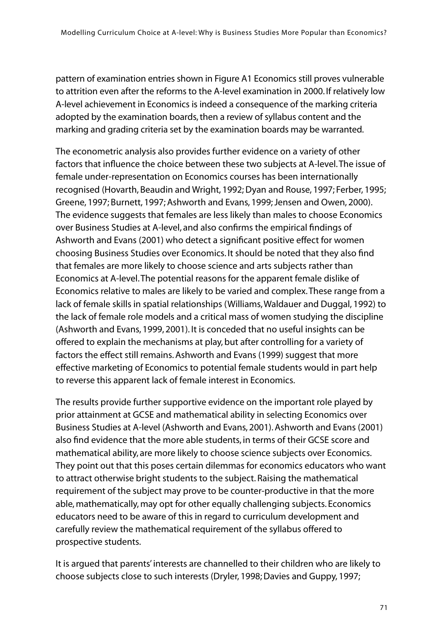pattern of examination entries shown in Figure A1 Economics still proves vulnerable to attrition even after the reforms to the A-level examination in 2000. If relatively low A-level achievement in Economics is indeed a consequence of the marking criteria adopted by the examination boards, then a review of syllabus content and the marking and grading criteria set by the examination boards may be warranted.

The econometric analysis also provides further evidence on a variety of other factors that influence the choice between these two subjects at A-level.The issue of female under-representation on Economics courses has been internationally recognised (Hovarth, Beaudin and Wright, 1992; Dyan and Rouse, 1997; Ferber, 1995; Greene, 1997; Burnett, 1997; Ashworth and Evans, 1999; Jensen and Owen, 2000). The evidence suggests that females are less likely than males to choose Economics over Business Studies at A-level, and also confirms the empirical findings of Ashworth and Evans (2001) who detect a significant positive effect for women choosing Business Studies over Economics. It should be noted that they also find that females are more likely to choose science and arts subjects rather than Economics at A-level.The potential reasons for the apparent female dislike of Economics relative to males are likely to be varied and complex.These range from a lack of female skills in spatial relationships (Williams, Waldauer and Duggal, 1992) to the lack of female role models and a critical mass of women studying the discipline (Ashworth and Evans, 1999, 2001). It is conceded that no useful insights can be offered to explain the mechanisms at play, but after controlling for a variety of factors the effect still remains. Ashworth and Evans (1999) suggest that more effective marketing of Economics to potential female students would in part help to reverse this apparent lack of female interest in Economics.

The results provide further supportive evidence on the important role played by prior attainment at GCSE and mathematical ability in selecting Economics over Business Studies at A-level (Ashworth and Evans, 2001). Ashworth and Evans (2001) also find evidence that the more able students, in terms of their GCSE score and mathematical ability, are more likely to choose science subjects over Economics. They point out that this poses certain dilemmas for economics educators who want to attract otherwise bright students to the subject. Raising the mathematical requirement of the subject may prove to be counter-productive in that the more able, mathematically, may opt for other equally challenging subjects. Economics educators need to be aware of this in regard to curriculum development and carefully review the mathematical requirement of the syllabus offered to prospective students.

It is argued that parents' interests are channelled to their children who are likely to choose subjects close to such interests (Dryler, 1998; Davies and Guppy, 1997;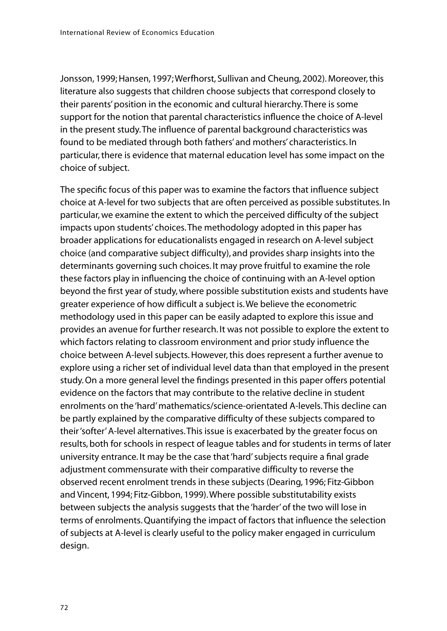Jonsson, 1999; Hansen, 1997; Werfhorst, Sullivan and Cheung, 2002). Moreover, this literature also suggests that children choose subjects that correspond closely to their parents' position in the economic and cultural hierarchy.There is some support for the notion that parental characteristics influence the choice of A-level in the present study.The influence of parental background characteristics was found to be mediated through both fathers' and mothers' characteristics. In particular, there is evidence that maternal education level has some impact on the choice of subject.

The specific focus of this paper was to examine the factors that influence subject choice at A-level for two subjects that are often perceived as possible substitutes. In particular, we examine the extent to which the perceived difficulty of the subject impacts upon students' choices.The methodology adopted in this paper has broader applications for educationalists engaged in research on A-level subject choice (and comparative subject difficulty), and provides sharp insights into the determinants governing such choices. It may prove fruitful to examine the role these factors play in influencing the choice of continuing with an A-level option beyond the first year of study, where possible substitution exists and students have greater experience of how difficult a subject is.We believe the econometric methodology used in this paper can be easily adapted to explore this issue and provides an avenue for further research. It was not possible to explore the extent to which factors relating to classroom environment and prior study influence the choice between A-level subjects. However, this does represent a further avenue to explore using a richer set of individual level data than that employed in the present study. On a more general level the findings presented in this paper offers potential evidence on the factors that may contribute to the relative decline in student enrolments on the 'hard' mathematics/science-orientated A-levels.This decline can be partly explained by the comparative difficulty of these subjects compared to their 'softer' A-level alternatives.This issue is exacerbated by the greater focus on results, both for schools in respect of league tables and for students in terms of later university entrance. It may be the case that 'hard' subjects require a final grade adjustment commensurate with their comparative difficulty to reverse the observed recent enrolment trends in these subjects (Dearing, 1996; Fitz-Gibbon and Vincent, 1994; Fitz-Gibbon, 1999).Where possible substitutability exists between subjects the analysis suggests that the 'harder' of the two will lose in terms of enrolments. Quantifying the impact of factors that influence the selection of subjects at A-level is clearly useful to the policy maker engaged in curriculum design.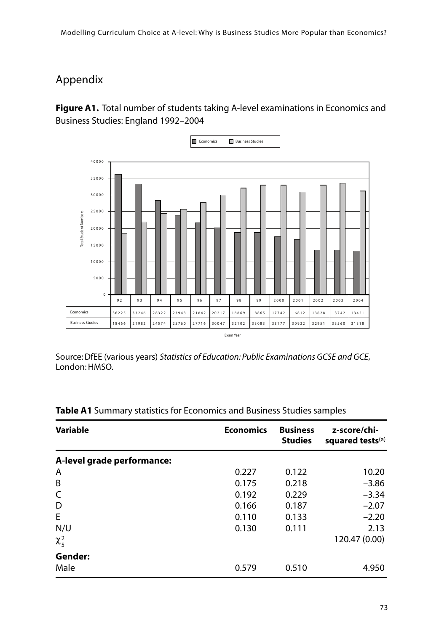# Appendix

**Figure A1.** Total number of students taking A-level examinations in Economics and Business Studies: England 1992–2004



Source: DfEE (various years) *Statistics of Education: Public Examinations GCSE and GCE*, London:HMSO.

| Variable                   | <b>Economics</b> | <b>Business</b><br><b>Studies</b> | z-score/chi-<br>squared tests <sup>(a)</sup> |
|----------------------------|------------------|-----------------------------------|----------------------------------------------|
| A-level grade performance: |                  |                                   |                                              |
| Α                          | 0.227            | 0.122                             | 10.20                                        |
| B                          | 0.175            | 0.218                             | $-3.86$                                      |
| C                          | 0.192            | 0.229                             | $-3.34$                                      |
| D                          | 0.166            | 0.187                             | $-2.07$                                      |
| E                          | 0.110            | 0.133                             | $-2.20$                                      |
| N/U                        | 0.130            | 0.111                             | 2.13                                         |
| $\chi^2_5$                 |                  |                                   | 120.47 (0.00)                                |
| Gender:                    |                  |                                   |                                              |
| Male                       | 0.579            | 0.510                             | 4.950                                        |

#### **Table A1** Summary statistics for Economics and Business Studies samples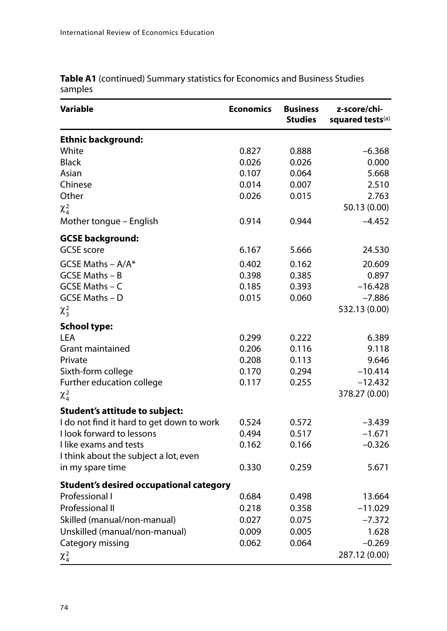| <b>Variable</b>                                | <b>Economics</b> | <b>Business</b><br><b>Studies</b> | z-score/chi-<br>squared tests(a) |
|------------------------------------------------|------------------|-----------------------------------|----------------------------------|
| <b>Ethnic background:</b>                      |                  |                                   |                                  |
| White                                          | 0.827            | 0.888                             | $-6.368$                         |
| <b>Black</b>                                   | 0.026            | 0.026                             | 0.000                            |
| Asian                                          | 0.107            | 0.064                             | 5.668                            |
| Chinese                                        | 0.014            | 0.007                             | 2.510                            |
| Other                                          | 0.026            | 0.015                             | 2.763                            |
| $\chi^2_{\scriptscriptstyle \Delta}$           |                  |                                   | 50.13 (0.00)                     |
| Mother tongue - English                        | 0.914            | 0.944                             | $-4.452$                         |
| <b>GCSE background:</b>                        |                  |                                   |                                  |
| <b>GCSE</b> score                              | 6.167            | 5.666                             | 24.530                           |
| GCSE Maths $- A/A^*$                           | 0.402            | 0.162                             | 20.609                           |
| GCSE Maths - B                                 | 0.398            | 0.385                             | 0.897                            |
| GCSE Maths - C                                 | 0.185            | 0.393                             | $-16.428$                        |
| GCSE Maths - D                                 | 0.015            | 0.060                             | $-7.886$                         |
| $\chi^2_3$                                     |                  |                                   | 532.13 (0.00)                    |
| <b>School type:</b>                            |                  |                                   |                                  |
| LEA                                            | 0.299            | 0.222                             | 6.389                            |
| Grant maintained                               | 0.206            | 0.116                             | 9.118                            |
| Private                                        | 0.208            | 0.113                             | 9.646                            |
| Sixth-form college                             | 0.170            | 0.294                             | $-10.414$                        |
| Further education college                      | 0.117            | 0.255                             | $-12.432$                        |
| $\chi^2$                                       |                  |                                   | 378.27 (0.00)                    |
| <b>Student's attitude to subject:</b>          |                  |                                   |                                  |
| I do not find it hard to get down to work      | 0.524            | 0.572                             | $-3.439$                         |
| <b>I look forward to lessons</b>               | 0.494            | 0.517                             | $-1.671$                         |
| I like exams and tests                         | 0.162            | 0.166                             | $-0.326$                         |
| I think about the subject a lot, even          |                  |                                   |                                  |
| in my spare time                               | 0.330            | 0.259                             | 5.671                            |
| <b>Student's desired occupational category</b> |                  |                                   |                                  |
| Professional I                                 | 0.684            | 0.498                             | 13.664                           |
| Professional II                                | 0.218            | 0.358                             | $-11.029$                        |
| Skilled (manual/non-manual)                    | 0.027            | 0.075                             | $-7.372$                         |
| Unskilled (manual/non-manual)                  | 0.009            | 0.005                             | 1.628                            |
| Category missing                               | 0.062            | 0.064                             | $-0.269$                         |
| $\chi^2_4$                                     |                  |                                   | 287.12 (0.00)                    |

**Table A1** (continued) Summary statistics for Economics and Business Studies samples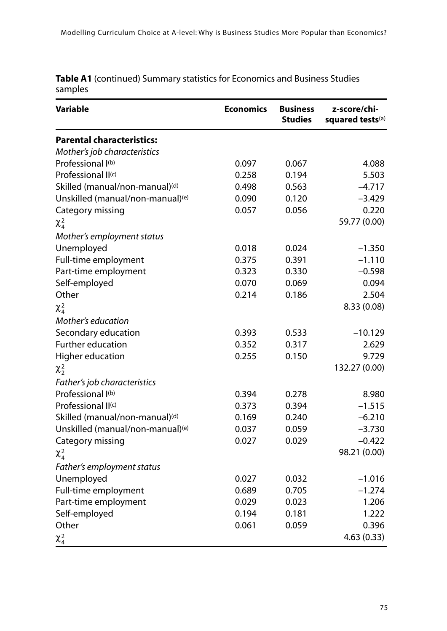| <b>Variable</b>                              | <b>Economics</b> | <b>Business</b><br><b>Studies</b> | z-score/chi-<br>squared tests(a) |
|----------------------------------------------|------------------|-----------------------------------|----------------------------------|
| <b>Parental characteristics:</b>             |                  |                                   |                                  |
| Mother's job characteristics                 |                  |                                   |                                  |
| Professional I(b)                            | 0.097            | 0.067                             | 4.088                            |
| Professional II(c)                           | 0.258            | 0.194                             | 5.503                            |
| Skilled (manual/non-manual) <sup>(d)</sup>   | 0.498            | 0.563                             | $-4.717$                         |
| Unskilled (manual/non-manual) <sup>(e)</sup> | 0.090            | 0.120                             | $-3.429$                         |
| Category missing                             | 0.057            | 0.056                             | 0.220                            |
| $\chi^2_4$                                   |                  |                                   | 59.77 (0.00)                     |
| Mother's employment status                   |                  |                                   |                                  |
| Unemployed                                   | 0.018            | 0.024                             | $-1.350$                         |
| Full-time employment                         | 0.375            | 0.391                             | $-1.110$                         |
| Part-time employment                         | 0.323            | 0.330                             | $-0.598$                         |
| Self-employed                                | 0.070            | 0.069                             | 0.094                            |
| Other                                        | 0.214            | 0.186                             | 2.504                            |
| $\chi^2_{\scriptscriptstyle \varDelta}$      |                  |                                   | 8.33 (0.08)                      |
| Mother's education                           |                  |                                   |                                  |
| Secondary education                          | 0.393            | 0.533                             | $-10.129$                        |
| <b>Further education</b>                     | 0.352            | 0.317                             | 2.629                            |
| Higher education                             | 0.255            | 0.150                             | 9.729                            |
| $\chi^2$                                     |                  |                                   | 132.27 (0.00)                    |
| Father's job characteristics                 |                  |                                   |                                  |
| Professional I(b)                            | 0.394            | 0.278                             | 8.980                            |
| Professional II(c)                           | 0.373            | 0.394                             | $-1.515$                         |
| Skilled (manual/non-manual) <sup>(d)</sup>   | 0.169            | 0.240                             | $-6.210$                         |
| Unskilled (manual/non-manual) <sup>(e)</sup> | 0.037            | 0.059                             | $-3.730$                         |
| Category missing                             | 0.027            | 0.029                             | $-0.422$                         |
| $\chi^2$                                     |                  |                                   | 98.21 (0.00)                     |
| Father's employment status                   |                  |                                   |                                  |
| Unemployed                                   | 0.027            | 0.032                             | $-1.016$                         |
| Full-time employment                         | 0.689            | 0.705                             | $-1.274$                         |
| Part-time employment                         | 0.029            | 0.023                             | 1.206                            |
| Self-employed                                | 0.194            | 0.181                             | 1.222                            |
| Other                                        | 0.061            | 0.059                             | 0.396                            |
| $\chi^2$                                     |                  |                                   | 4.63(0.33)                       |

**Table A1** (continued) Summary statistics for Economics and Business Studies samples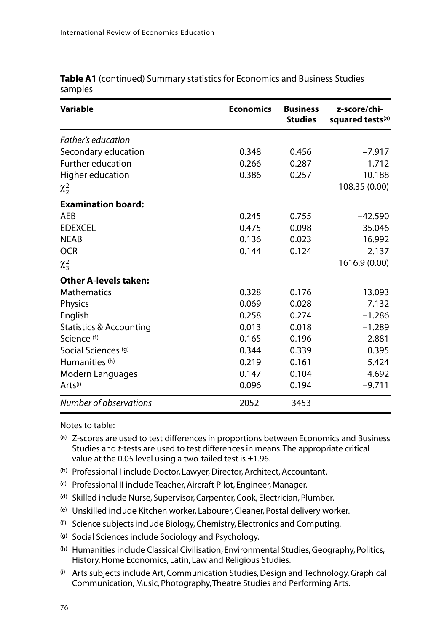| <b>Variable</b>                    | <b>Economics</b> | <b>Business</b><br><b>Studies</b> | z-score/chi-<br>squared tests(a) |
|------------------------------------|------------------|-----------------------------------|----------------------------------|
| Father's education                 |                  |                                   |                                  |
| Secondary education                | 0.348            | 0.456                             | $-7.917$                         |
| Further education                  | 0.266            | 0.287                             | $-1.712$                         |
| Higher education                   | 0.386            | 0.257                             | 10.188                           |
| $\chi^2$                           |                  |                                   | 108.35 (0.00)                    |
| <b>Examination board:</b>          |                  |                                   |                                  |
| AEB                                | 0.245            | 0.755                             | $-42.590$                        |
| <b>EDEXCEL</b>                     | 0.475            | 0.098                             | 35.046                           |
| <b>NEAB</b>                        | 0.136            | 0.023                             | 16.992                           |
| <b>OCR</b>                         | 0.144            | 0.124                             | 2.137                            |
| $\chi^2$                           |                  |                                   | 1616.9 (0.00)                    |
| <b>Other A-levels taken:</b>       |                  |                                   |                                  |
| <b>Mathematics</b>                 | 0.328            | 0.176                             | 13.093                           |
| Physics                            | 0.069            | 0.028                             | 7.132                            |
| English                            | 0.258            | 0.274                             | $-1.286$                         |
| <b>Statistics &amp; Accounting</b> | 0.013            | 0.018                             | $-1.289$                         |
| Science $(f)$                      | 0.165            | 0.196                             | $-2.881$                         |
| Social Sciences (g)                | 0.344            | 0.339                             | 0.395                            |
| Humanities (h)                     | 0.219            | 0.161                             | 5.424                            |
| Modern Languages                   | 0.147            | 0.104                             | 4.692                            |
| Arts(i)                            | 0.096            | 0.194                             | $-9.711$                         |
| Number of observations             | 2052             | 3453                              |                                  |

**Table A1** (continued) Summary statistics for Economics and Business Studies samples

Notes to table:

- (a) Z-scores are used to test differences in proportions between Economics and Business Studies and *t*-tests are used to test differences in means.The appropriate critical value at the 0.05 level using a two-tailed test is  $\pm 1.96$ .
- (b) Professional I include Doctor, Lawyer, Director, Architect, Accountant.
- (c) Professional II include Teacher, Aircraft Pilot, Engineer, Manager.
- (d) Skilled include Nurse, Supervisor, Carpenter, Cook, Electrician, Plumber.
- (e) Unskilled include Kitchen worker, Labourer, Cleaner, Postal delivery worker.
- $(f)$  Science subjects include Biology, Chemistry, Electronics and Computing.
- (g) Social Sciences include Sociology and Psychology.
- (h) Humanities include Classical Civilisation, Environmental Studies, Geography, Politics, History, Home Economics, Latin, Law and Religious Studies.
- $(i)$  Arts subjects include Art, Communication Studies, Design and Technology, Graphical Communication, Music, Photography,Theatre Studies and Performing Arts.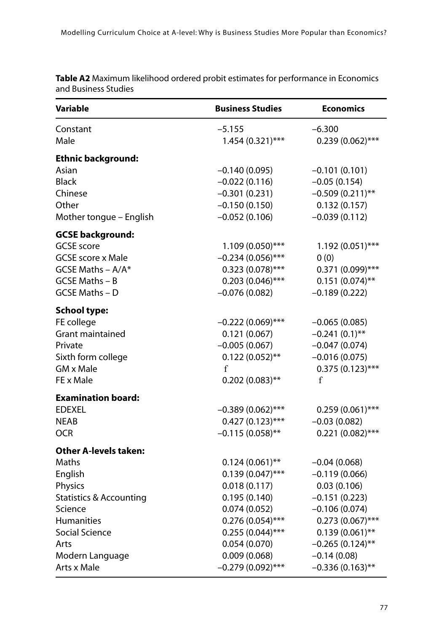| Variable                           | <b>Business Studies</b> | <b>Economics</b>   |
|------------------------------------|-------------------------|--------------------|
| Constant                           | $-5.155$                | $-6.300$           |
| Male                               | 1.454 (0.321)***        | 0.239 (0.062)***   |
| <b>Ethnic background:</b>          |                         |                    |
| Asian                              | $-0.140(0.095)$         | $-0.101(0.101)$    |
| <b>Black</b>                       | $-0.022(0.116)$         | $-0.05(0.154)$     |
| Chinese                            | $-0.301(0.231)$         | $-0.509(0.211)$ ** |
| Other                              | $-0.150(0.150)$         | 0.132(0.157)       |
| Mother tongue - English            | $-0.052(0.106)$         | $-0.039(0.112)$    |
| <b>GCSE background:</b>            |                         |                    |
| <b>GCSE</b> score                  | 1.109 (0.050)***        | 1.192 (0.051)***   |
| <b>GCSE score x Male</b>           | $-0.234(0.056)$ ***     | 0(0)               |
| GCSE Maths $- A/A^*$               | $0.323(0.078)$ ***      | $0.371(0.099)$ *** |
| GCSE Maths - B                     | $0.203(0.046)$ ***      | $0.151(0.074)$ **  |
| GCSE Maths - D                     | $-0.076(0.082)$         | $-0.189(0.222)$    |
| <b>School type:</b>                |                         |                    |
| FE college                         | $-0.222(0.069)$ ***     | $-0.065(0.085)$    |
| <b>Grant maintained</b>            | 0.121(0.067)            | $-0.241(0.1)$ **   |
| Private                            | $-0.005(0.067)$         | $-0.047(0.074)$    |
| Sixth form college                 | $0.122(0.052)$ **       | $-0.016(0.075)$    |
| <b>GM x Male</b>                   | f                       | $0.375(0.123)$ *** |
| FE x Male                          | $0.202(0.083)$ **       | $\mathsf{f}$       |
| <b>Examination board:</b>          |                         |                    |
| <b>EDEXEL</b>                      | $-0.389(0.062)$ ***     | $0.259(0.061)$ *** |
| <b>NEAB</b>                        | $0.427(0.123)$ ***      | $-0.03(0.082)$     |
| <b>OCR</b>                         | $-0.115(0.058)$ **      | $0.221(0.082)$ *** |
| <b>Other A-levels taken:</b>       |                         |                    |
| Maths                              | $0.124(0.061)$ **       | $-0.04(0.068)$     |
| English                            | $0.139(0.047)$ ***      | $-0.119(0.066)$    |
| Physics                            | 0.018(0.117)            | 0.03(0.106)        |
| <b>Statistics &amp; Accounting</b> | 0.195(0.140)            | $-0.151(0.223)$    |
| Science                            | 0.074(0.052)            | $-0.106(0.074)$    |
| <b>Humanities</b>                  | $0.276(0.054)$ ***      | $0.273(0.067)$ *** |
| Social Science                     | $0.255(0.044)$ ***      | $0.139(0.061)$ **  |
| Arts                               | 0.054(0.070)            | $-0.265(0.124)$ ** |
| Modern Language                    | 0.009(0.068)            | $-0.14(0.08)$      |
| Arts x Male                        | $-0.279(0.092)$ ***     | $-0.336(0.163)$ ** |

**Table A2** Maximum likelihood ordered probit estimates for performance in Economics and Business Studies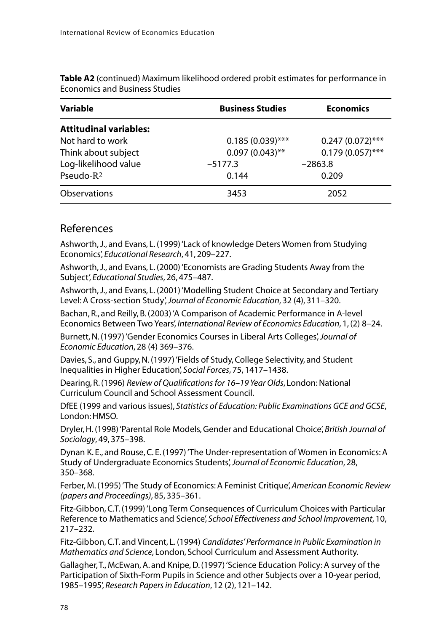| Variable                      | <b>Business Studies</b> | <b>Economics</b>   |
|-------------------------------|-------------------------|--------------------|
| <b>Attitudinal variables:</b> |                         |                    |
| Not hard to work              | $0.185(0.039)$ ***      | $0.247(0.072)$ *** |
| Think about subject           | $0.097(0.043)$ **       | $0.179(0.057)$ *** |
| Log-likelihood value          | $-5177.3$               | $-2863.8$          |
| Pseudo- $R2$                  | 0.144                   | 0.209              |
| Observations                  | 3453                    | 2052               |

**Table A2** (continued) Maximum likelihood ordered probit estimates for performance in Economics and Business Studies

# References

Ashworth, J., and Evans, L. (1999) 'Lack of knowledge Deters Women from Studying Economics', *Educational Research*, 41, 209–227.

Ashworth, J., and Evans, L. (2000) 'Economists are Grading Students Away from the Subject', *Educational Studies*, 26, 475–487.

Ashworth, J., and Evans, L. (2001) 'Modelling Student Choice at Secondary and Tertiary Level: A Cross-section Study',*Journal of Economic Education*, 32 (4), 311–320.

Bachan, R., and Reilly, B. (2003) 'A Comparison of Academic Performance in A-level Economics Between Two Years', *International Review of Economics Education*, 1, (2) 8–24.

Burnett, N. (1997) 'Gender Economics Courses in Liberal Arts Colleges',*Journal of Economic Education*, 28 (4) 369–376.

Davies, S., and Guppy, N. (1997) 'Fields of Study, College Selectivity, and Student Inequalities in Higher Education', *Social Forces*, 75, 1417–1438.

Dearing, R. (1996) *Review of Qualifications for 16–19 Year Olds*, London: National Curriculum Council and School Assessment Council.

DfEE (1999 and various issues), *Statistics of Education: Public Examinations GCE and GCSE*, London: HMSO.

Dryler, H. (1998) 'Parental Role Models, Gender and Educational Choice', *British Journal of Sociology*, 49, 375–398.

Dynan K. E., and Rouse, C. E. (1997) 'The Under-representation of Women in Economics: A Study of Undergraduate Economics Students',*Journal of Economic Education*, 28, 350–368.

Ferber, M. (1995) 'The Study of Economics: A Feminist Critique',*American Economic Review (papers and Proceedings)*, 85, 335–361.

Fitz-Gibbon, C.T. (1999) 'Long Term Consequences of Curriculum Choices with Particular Reference to Mathematics and Science', *School Effectiveness and School Improvement*, 10, 217–232.

Fitz-Gibbon, C.T. and Vincent, L. (1994) *Candidates' Performance in Public Examination in Mathematics and Science*, London, School Curriculum and Assessment Authority.

Gallagher,T., McEwan, A. and Knipe, D. (1997) 'Science Education Policy: A survey of the Participation of Sixth-Form Pupils in Science and other Subjects over a 10-year period, 1985–1995', *Research Papers in Education*, 12 (2), 121–142.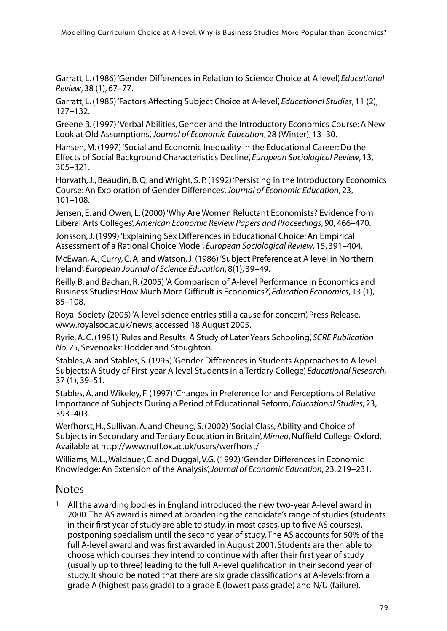Garratt, L. (1986) 'Gender Differences in Relation to Science Choice at A level', *Educational Review*, 38 (1), 67–77.

Garratt, L. (1985) 'Factors Affecting Subject Choice at A-level', *Educational Studies*, 11 (2), 127–132.

Greene B. (1997) 'Verbal Abilities, Gender and the Introductory Economics Course: A New Look at Old Assumptions',*Journal of Economic Education*, 28 (Winter), 13–30.

Hansen, M. (1997) 'Social and Economic Inequality in the Educational Career: Do the Effects of Social Background Characteristics Decline', *European Sociological Review*, 13, 305–321.

Horvath, J., Beaudin, B. Q. and Wright, S. P. (1992) 'Persisting in the Introductory Economics Course: An Exploration of Gender Differences',*Journal of Economic Education*, 23, 101–108.

Jensen, E. and Owen, L. (2000) 'Why Are Women Reluctant Economists? Evidence from Liberal Arts Colleges',*American Economic Review Papers and Proceedings*, 90, 466–470.

Jonsson, J. (1999) 'Explaining Sex Differences in Educational Choice: An Empirical Assessment of a Rational Choice Model', *European Sociological Review*, 15, 391–404.

McEwan, A., Curry, C. A. and Watson, J. (1986) 'Subject Preference at A level in Northern Ireland', *European Journal of Science Education*, 8(1), 39–49.

Reilly B. and Bachan, R. (2005) 'A Comparison of A-level Performance in Economics and Business Studies: How Much More Difficult is Economics?', *Education Economics*, 13 (1), 85–108.

Royal Society (2005) 'A-level science entries still a cause for concern', Press Release, www.royalsoc.ac.uk/news, accessed 18 August 2005.

Ryrie, A. C. (1981) 'Rules and Results: A Study of Later Years Schooling', *SCRE Publication No. 75*, Sevenoaks: Hodder and Stoughton.

Stables, A. and Stables, S. (1995) 'Gender Differences in Students Approaches to A-level Subjects: A Study of First-year A level Students in a Tertiary College', *Educational Research*, 37 (1), 39–51.

Stables, A. and Wikeley, F. (1997) 'Changes in Preference for and Perceptions of Relative Importance of Subjects During a Period of Educational Reform', *Educational Studies*, 23, 393–403.

Werfhorst, H., Sullivan, A. and Cheung, S. (2002) 'Social Class, Ability and Choice of Subjects in Secondary and Tertiary Education in Britain',*Mimeo*, Nuffield College Oxford. Available at http://www.nuff.ox.ac.uk/users/werfhorst/

Williams, M.L.,Waldauer, C. and Duggal, V.G. (1992) 'Gender Differences in Economic Knowledge:An Extension of the Analysis',*Journal of Economic Education*, 23, 219–231.

#### Notes

All the awarding bodies in England introduced the new two-year A-level award in 2000.The AS award is aimed at broadening the candidate's range of studies (students in their first year of study are able to study, in most cases, up to five AS courses), postponing specialism until the second year of study.The AS accounts for 50% of the full A-level award and was first awarded in August 2001. Students are then able to choose which courses they intend to continue with after their first year of study (usually up to three) leading to the full A-level qualification in their second year of study. It should be noted that there are six grade classifications at A-levels: from a grade A (highest pass grade) to a grade E (lowest pass grade) and N/U (failure).